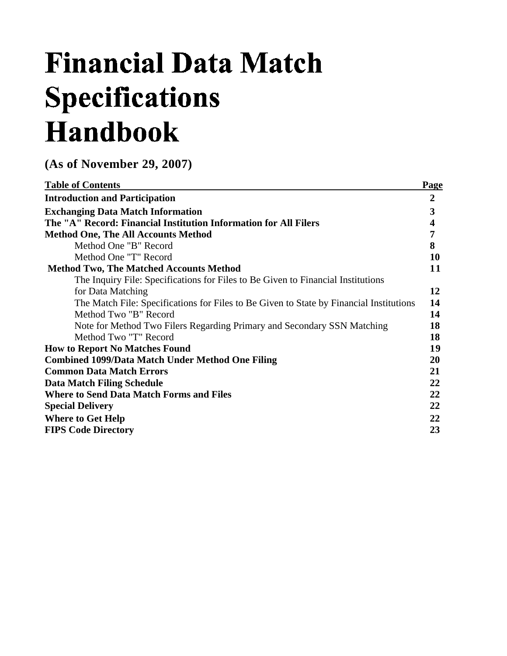# **Financial Data Match Specifications Handbook**

**(As of November 29, 2007)** 

| <b>Table of Contents</b>                                                                | <b>Page</b>      |
|-----------------------------------------------------------------------------------------|------------------|
| <b>Introduction and Participation</b>                                                   | $\boldsymbol{2}$ |
| <b>Exchanging Data Match Information</b>                                                | $\mathbf{3}$     |
| The "A" Record: Financial Institution Information for All Filers                        | 4                |
| <b>Method One, The All Accounts Method</b>                                              | 7                |
| Method One "B" Record                                                                   | 8                |
| Method One "T" Record                                                                   | 10               |
| <b>Method Two, The Matched Accounts Method</b>                                          | 11               |
| The Inquiry File: Specifications for Files to Be Given to Financial Institutions        |                  |
| for Data Matching                                                                       | 12               |
| The Match File: Specifications for Files to Be Given to State by Financial Institutions | 14               |
| Method Two "B" Record                                                                   | 14               |
| Note for Method Two Filers Regarding Primary and Secondary SSN Matching                 | 18               |
| Method Two "T" Record                                                                   | 18               |
| <b>How to Report No Matches Found</b>                                                   | 19               |
| <b>Combined 1099/Data Match Under Method One Filing</b>                                 | 20               |
| <b>Common Data Match Errors</b>                                                         | 21               |
| <b>Data Match Filing Schedule</b>                                                       | 22               |
| <b>Where to Send Data Match Forms and Files</b>                                         | 22               |
| <b>Special Delivery</b>                                                                 | 22               |
| <b>Where to Get Help</b>                                                                | 22               |
| <b>FIPS Code Directory</b>                                                              | 23               |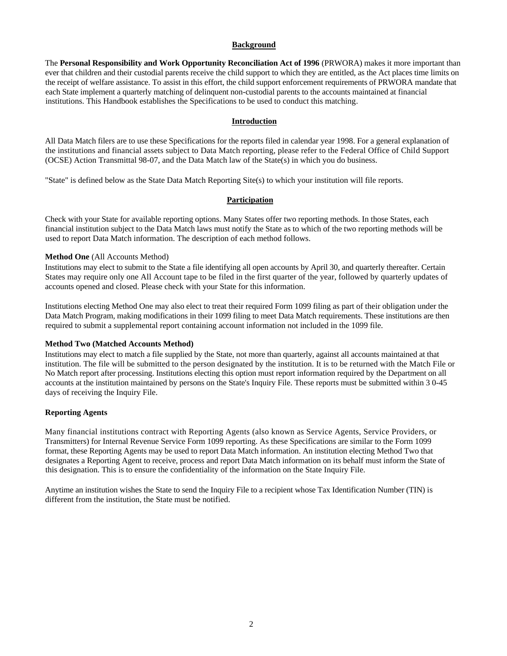# **Background**

The **Personal Responsibility and Work Opportunity Reconciliation Act of 1996** (PRWORA) makes it more important than ever that children and their custodial parents receive the child support to which they are entitled, as the Act places time limits on the receipt of welfare assistance. To assist in this effort, the child support enforcement requirements of PRWORA mandate that each State implement a quarterly matching of delinquent non-custodial parents to the accounts maintained at financial institutions. This Handbook establishes the Specifications to be used to conduct this matching.

### **Introduction**

All Data Match filers are to use these Specifications for the reports filed in calendar year 1998. For a general explanation of the institutions and financial assets subject to Data Match reporting, please refer to the Federal Office of Child Support (OCSE) Action Transmittal 98-07, and the Data Match law of the State(s) in which you do business.

"State" is defined below as the State Data Match Reporting Site(s) to which your institution will file reports.

# **Participation**

Check with your State for available reporting options. Many States offer two reporting methods. In those States, each financial institution subject to the Data Match laws must notify the State as to which of the two reporting methods will be used to report Data Match information. The description of each method follows.

#### **Method One** (All Accounts Method)

Institutions may elect to submit to the State a file identifying all open accounts by April 30, and quarterly thereafter. Certain States may require only one All Account tape to be filed in the first quarter of the year, followed by quarterly updates of accounts opened and closed. Please check with your State for this information.

Institutions electing Method One may also elect to treat their required Form 1099 filing as part of their obligation under the Data Match Program, making modifications in their 1099 filing to meet Data Match requirements. These institutions are then required to submit a supplemental report containing account information not included in the 1099 file.

#### **Method Two (Matched Accounts Method)**

Institutions may elect to match a file supplied by the State, not more than quarterly, against all accounts maintained at that institution. The file will be submitted to the person designated by the institution. It is to be returned with the Match File or No Match report after processing. Institutions electing this option must report information required by the Department on all accounts at the institution maintained by persons on the State's Inquiry File. These reports must be submitted within 3 0-45 days of receiving the Inquiry File.

## **Reporting Agents**

Many financial institutions contract with Reporting Agents (also known as Service Agents, Service Providers, or Transmitters) for Internal Revenue Service Form 1099 reporting. As these Specifications are similar to the Form 1099 format, these Reporting Agents may be used to report Data Match information. An institution electing Method Two that designates a Reporting Agent to receive, process and report Data Match information on its behalf must inform the State of this designation. This is to ensure the confidentiality of the information on the State Inquiry File.

Anytime an institution wishes the State to send the Inquiry File to a recipient whose Tax Identification Number (TIN) is different from the institution, the State must be notified.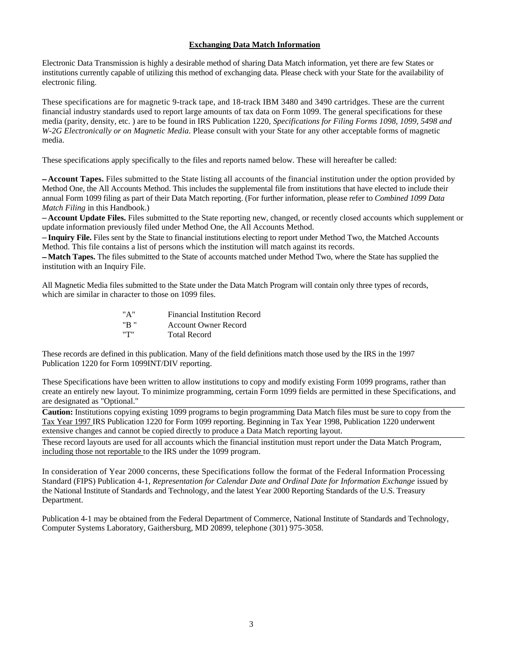# **Exchanging Data Match Information**

Electronic Data Transmission is highly a desirable method of sharing Data Match information, yet there are few States or institutions currently capable of utilizing this method of exchanging data. Please check with your State for the availability of electronic filing.

These specifications are for magnetic 9-track tape, and 18-track IBM 3480 and 3490 cartridges. These are the current financial industry standards used to report large amounts of tax data on Form 1099. The general specifications for these media (parity, density, etc. ) are to be found in IRS Publication 1220, *Specifications for Filing Forms 1098, 1099, 5498 and W-2G Electronically or on Magnetic Media.* Please consult with your State for any other acceptable forms of magnetic media.

These specifications apply specifically to the files and reports named below. These will hereafter be called:

 **Account Tapes.** Files submitted to the State listing all accounts of the financial institution under the option provided by Method One, the All Accounts Method. This includes the supplemental file from institutions that have elected to include their annual Form 1099 filing as part of their Data Match reporting. (For further information, please refer to *Combined 1099 Data Match Filing* in this Handbook.)

 **Account Update Files.** Files submitted to the State reporting new, changed, or recently closed accounts which supplement or update information previously filed under Method One, the All Accounts Method.

 **Inquiry File.** Files sent by the State to financial institutions electing to report under Method Two, the Matched Accounts Method. This file contains a list of persons which the institution will match against its records.

 **Match Tapes.** The files submitted to the State of accounts matched under Method Two, where the State has supplied the institution with an Inquiry File.

All Magnetic Media files submitted to the State under the Data Match Program will contain only three types of records, which are similar in character to those on 1099 files.

| "A"   | <b>Financial Institution Record</b> |
|-------|-------------------------------------|
| "B "  | <b>Account Owner Record</b>         |
| יידיי | <b>Total Record</b>                 |

These records are defined in this publication. Many of the field definitions match those used by the IRS in the 1997 Publication 1220 for Form 1099INT/DIV reporting.

These Specifications have been written to allow institutions to copy and modify existing Form 1099 programs, rather than create an entirely new layout. To minimize programming, certain Form 1099 fields are permitted in these Specifications, and are designated as "Optional."

**Caution:** Institutions copying existing 1099 programs to begin programming Data Match files must be sure to copy from the Tax Year 1997 IRS Publication 1220 for Form 1099 reporting. Beginning in Tax Year 1998, Publication 1220 underwent extensive changes and cannot be copied directly to produce a Data Match reporting layout.

These record layouts are used for all accounts which the financial institution must report under the Data Match Program, including those not reportable to the IRS under the 1099 program.

In consideration of Year 2000 concerns, these Specifications follow the format of the Federal Information Processing Standard (FIPS) Publication 4-1, *Representation for Calendar Date and Ordinal Date for Information Exchange* issued by the National Institute of Standards and Technology, and the latest Year 2000 Reporting Standards of the U.S. Treasury Department.

Publication 4-1 may be obtained from the Federal Department of Commerce, National Institute of Standards and Technology, Computer Systems Laboratory, Gaithersburg, MD 20899, telephone (301) 975-3058.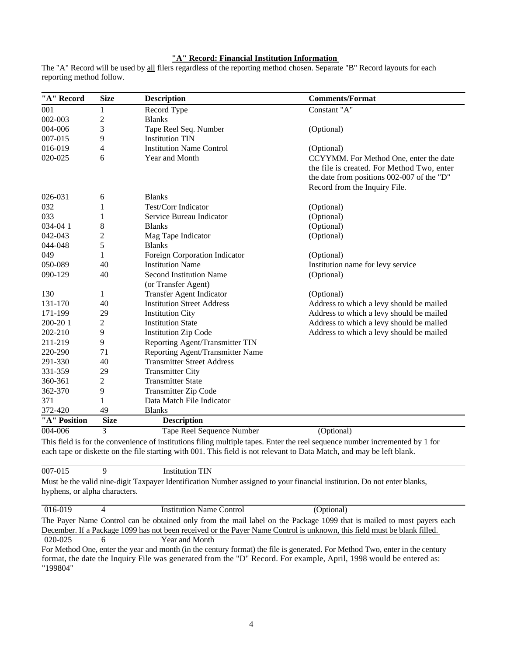# **"A" Record: Financial Institution Information**

| "A" Record   | <b>Size</b>    | <b>Description</b>                | <b>Comments/Format</b>                     |
|--------------|----------------|-----------------------------------|--------------------------------------------|
| 001          | 1              | Record Type                       | Constant "A"                               |
| 002-003      | $\mathfrak{2}$ | <b>Blanks</b>                     |                                            |
| 004-006      | 3              | Tape Reel Seq. Number             | (Optional)                                 |
| 007-015      | 9              | <b>Institution TIN</b>            |                                            |
| 016-019      | 4              | <b>Institution Name Control</b>   | (Optional)                                 |
| 020-025      | 6              | Year and Month                    | CCYYMM. For Method One, enter the date     |
|              |                |                                   | the file is created. For Method Two, enter |
|              |                |                                   | the date from positions 002-007 of the "D" |
|              |                |                                   | Record from the Inquiry File.              |
| 026-031      | 6              | <b>Blanks</b>                     |                                            |
| 032          | 1              | Test/Corr Indicator               | (Optional)                                 |
| 033          | 1              | Service Bureau Indicator          | (Optional)                                 |
| 034-041      | 8              | <b>Blanks</b>                     | (Optional)                                 |
| $042 - 043$  | 2              | Mag Tape Indicator                | (Optional)                                 |
| 044-048      | 5              | <b>Blanks</b>                     |                                            |
| 049          | 1              | Foreign Corporation Indicator     | (Optional)                                 |
| 050-089      | 40             | <b>Institution Name</b>           | Institution name for levy service          |
| 090-129      | 40             | <b>Second Institution Name</b>    | (Optional)                                 |
|              |                | (or Transfer Agent)               |                                            |
| 130          | 1              | <b>Transfer Agent Indicator</b>   | (Optional)                                 |
| 131-170      | 40             | <b>Institution Street Address</b> | Address to which a levy should be mailed   |
| 171-199      | 29             | <b>Institution City</b>           | Address to which a levy should be mailed   |
| 200-201      | $\overline{2}$ | <b>Institution State</b>          | Address to which a levy should be mailed   |
| 202-210      | 9              | <b>Institution Zip Code</b>       | Address to which a levy should be mailed   |
| 211-219      | 9              | Reporting Agent/Transmitter TIN   |                                            |
| 220-290      | 71             | Reporting Agent/Transmitter Name  |                                            |
| 291-330      | 40             | <b>Transmitter Street Address</b> |                                            |
| 331-359      | 29             | <b>Transmitter City</b>           |                                            |
| 360-361      | 2              | <b>Transmitter State</b>          |                                            |
| 362-370      | 9              | <b>Transmitter Zip Code</b>       |                                            |
| 371          | 1              | Data Match File Indicator         |                                            |
| 372-420      | 49             | <b>Blanks</b>                     |                                            |
| "A" Position | <b>Size</b>    | <b>Description</b>                |                                            |
| 004-006      | $\overline{3}$ | <b>Tape Reel Sequence Number</b>  | (Optional)                                 |

The "A" Record will be used by all filers regardless of the reporting method chosen. Separate "B" Record layouts for each reporting method follow.

This field is for the convenience of institutions filing multiple tapes. Enter the reel sequence number incremented by 1 for each tape or diskette on the file starting with 001. This field is not relevant to Data Match, and may be left blank.

007-015 9 Institution TIN

Must be the valid nine-digit Taxpayer Identification Number assigned to your financial institution. Do not enter blanks, hyphens, or alpha characters.

| 016-019  | 4 | <b>Institution Name Control</b>                                                                                              | (Optional) |  |
|----------|---|------------------------------------------------------------------------------------------------------------------------------|------------|--|
|          |   | The Payer Name Control can be obtained only from the mail label on the Package 1099 that is mailed to most payers each       |            |  |
|          |   | December. If a Package 1099 has not been received or the Payer Name Control is unknown, this field must be blank filled.     |            |  |
| 020-025  |   | Year and Month                                                                                                               |            |  |
|          |   | For Method One, enter the year and month (in the century format) the file is generated. For Method Two, enter in the century |            |  |
| "199804" |   | format, the date the Inquiry File was generated from the "D" Record. For example, April, 1998 would be entered as:           |            |  |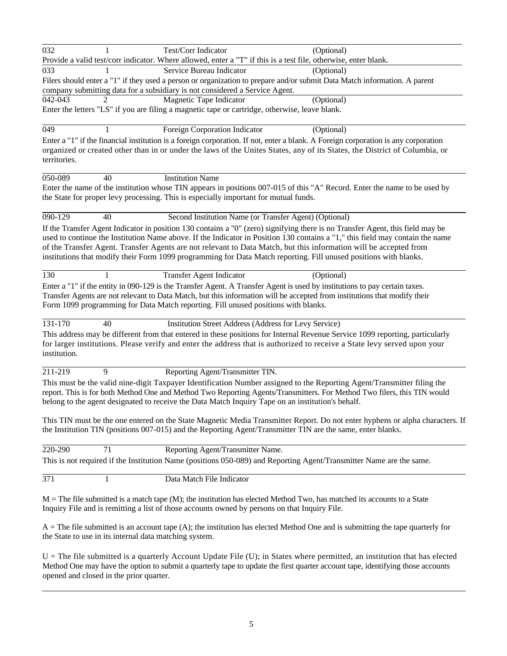| 032                  |                 | Test/Corr Indicator                                                                                             | (Optional)                                                                                                                                                                                                                                                       |
|----------------------|-----------------|-----------------------------------------------------------------------------------------------------------------|------------------------------------------------------------------------------------------------------------------------------------------------------------------------------------------------------------------------------------------------------------------|
|                      |                 | Provide a valid test/corr indicator. Where allowed, enter a "T" if this is a test file, otherwise, enter blank. |                                                                                                                                                                                                                                                                  |
| 033                  |                 | Service Bureau Indicator                                                                                        | (Optional)                                                                                                                                                                                                                                                       |
|                      |                 | company submitting data for a subsidiary is not considered a Service Agent.                                     | Filers should enter a "1" if they used a person or organization to prepare and/or submit Data Match information. A parent                                                                                                                                        |
| 042-043              |                 | Magnetic Tape Indicator                                                                                         | (Optional)                                                                                                                                                                                                                                                       |
|                      |                 | Enter the letters "LS" if you are filing a magnetic tape or cartridge, otherwise, leave blank.                  |                                                                                                                                                                                                                                                                  |
|                      |                 |                                                                                                                 |                                                                                                                                                                                                                                                                  |
| 049                  |                 | Foreign Corporation Indicator                                                                                   | (Optional)                                                                                                                                                                                                                                                       |
| territories.         |                 |                                                                                                                 | Enter a "1" if the financial institution is a foreign corporation. If not, enter a blank. A Foreign corporation is any corporation<br>organized or created other than in or under the laws of the Unites States, any of its States, the District of Columbia, or |
| 050-089              | 40              | <b>Institution Name</b>                                                                                         |                                                                                                                                                                                                                                                                  |
|                      |                 |                                                                                                                 | Enter the name of the institution whose TIN appears in positions 007-015 of this "A" Record. Enter the name to be used by                                                                                                                                        |
|                      |                 | the State for proper levy processing. This is especially important for mutual funds.                            |                                                                                                                                                                                                                                                                  |
|                      |                 |                                                                                                                 |                                                                                                                                                                                                                                                                  |
| $\overline{090-129}$ | 40              | Second Institution Name (or Transfer Agent) (Optional)                                                          |                                                                                                                                                                                                                                                                  |
|                      |                 |                                                                                                                 | If the Transfer Agent Indicator in position 130 contains a "0" (zero) signifying there is no Transfer Agent, this field may be                                                                                                                                   |
|                      |                 |                                                                                                                 | used to continue the Institution Name above. If the Indicator in Position 130 contains a "1," this field may contain the name                                                                                                                                    |
|                      |                 |                                                                                                                 | of the Transfer Agent. Transfer Agents are not relevant to Data Match, but this information will be accepted from                                                                                                                                                |
|                      |                 |                                                                                                                 | institutions that modify their Form 1099 programming for Data Match reporting. Fill unused positions with blanks.                                                                                                                                                |
| 130                  | $\mathbf{1}$    | <b>Transfer Agent Indicator</b>                                                                                 | (Optional)                                                                                                                                                                                                                                                       |
|                      |                 | Form 1099 programming for Data Match reporting. Fill unused positions with blanks.                              | Enter a "1" if the entity in 090-129 is the Transfer Agent. A Transfer Agent is used by institutions to pay certain taxes.<br>Transfer Agents are not relevant to Data Match, but this information will be accepted from institutions that modify their          |
| 131-170              | 40              | Institution Street Address (Address for Levy Service)                                                           |                                                                                                                                                                                                                                                                  |
| institution.         |                 |                                                                                                                 | This address may be different from that entered in these positions for Internal Revenue Service 1099 reporting, particularly<br>for larger institutions. Please verify and enter the address that is authorized to receive a State levy served upon your         |
| 211-219              | 9               | Reporting Agent/Transmitter TIN.                                                                                |                                                                                                                                                                                                                                                                  |
|                      |                 | belong to the agent designated to receive the Data Match Inquiry Tape on an institution's behalf.               | This must be the valid nine-digit Taxpayer Identification Number assigned to the Reporting Agent/Transmitter filing the<br>report. This is for both Method One and Method Two Reporting Agents/Transmitters. For Method Two filers, this TIN would               |
|                      |                 | the Institution TIN (positions 007-015) and the Reporting Agent/Transmitter TIN are the same, enter blanks.     | This TIN must be the one entered on the State Magnetic Media Transmitter Report. Do not enter hyphens or alpha characters. If                                                                                                                                    |
| 220-290              | $\overline{71}$ | Reporting Agent/Transmitter Name.                                                                               |                                                                                                                                                                                                                                                                  |
|                      |                 |                                                                                                                 | This is not required if the Institution Name (positions 050-089) and Reporting Agent/Transmitter Name are the same.                                                                                                                                              |
|                      |                 |                                                                                                                 |                                                                                                                                                                                                                                                                  |
| 371                  | $\mathbf{1}$    | Data Match File Indicator                                                                                       |                                                                                                                                                                                                                                                                  |
|                      |                 | Inquiry File and is remitting a list of those accounts owned by persons on that Inquiry File.                   | $M =$ The file submitted is a match tape (M); the institution has elected Method Two, has matched its accounts to a State                                                                                                                                        |
|                      |                 | the State to use in its internal data matching system.                                                          | $A$ = The file submitted is an account tape (A); the institution has elected Method One and is submitting the tape quarterly for                                                                                                                                 |

 $U =$ The file submitted is a quarterly Account Update File  $(U)$ ; in States where permitted, an institution that has elected Method One may have the option to submit a quarterly tape to update the first quarter account tape, identifying those accounts opened and closed in the prior quarter.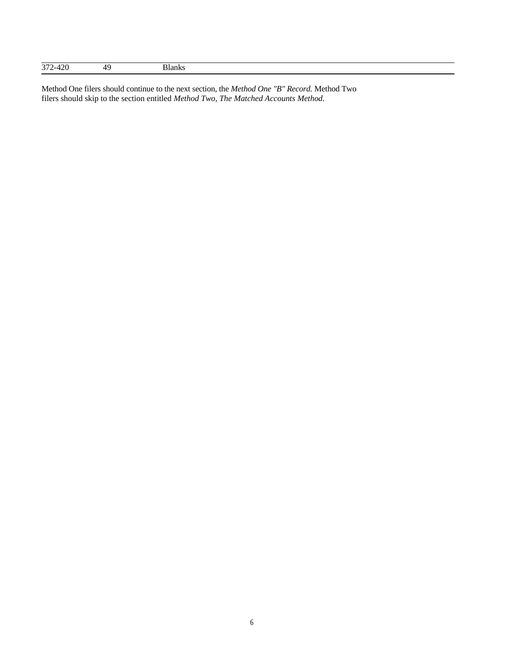| 272<br>$\sim$<br>ے ، ب |
|------------------------|
|------------------------|

Method One filers should continue to the next section, the *Method One "B" Record.* Method Two filers should skip to the section entitled *Method Two, The Matched Accounts Method.*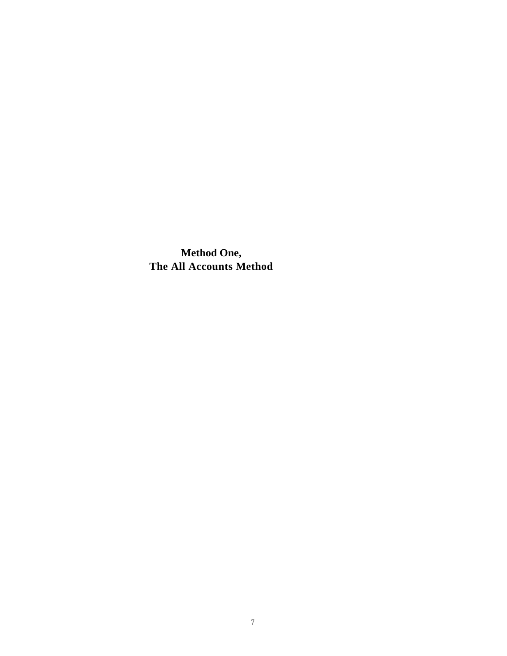**Method One, The All Accounts Method**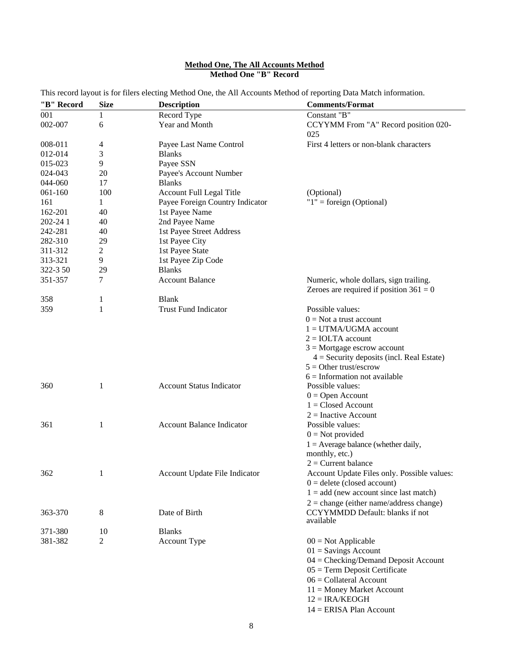## **Method One, The All Accounts Method Method One "B" Record**

| "B" Record | <b>Size</b>    | <b>Description</b>               | <b>Comments/Format</b>                                                              |
|------------|----------------|----------------------------------|-------------------------------------------------------------------------------------|
| 001        | 1              | Record Type                      | Constant "B"                                                                        |
| 002-007    | 6              | Year and Month                   | CCYYMM From "A" Record position 020-<br>025                                         |
| 008-011    | 4              | Payee Last Name Control          | First 4 letters or non-blank characters                                             |
| 012-014    | 3              | <b>Blanks</b>                    |                                                                                     |
| 015-023    | 9              | Payee SSN                        |                                                                                     |
| 024-043    | 20             | Payee's Account Number           |                                                                                     |
| 044-060    | 17             | <b>Blanks</b>                    |                                                                                     |
| 061-160    | 100            | Account Full Legal Title         | (Optional)                                                                          |
| 161        | 1              | Payee Foreign Country Indicator  | " $1$ " = foreign (Optional)                                                        |
| 162-201    | 40             | 1st Payee Name                   |                                                                                     |
|            | 40             |                                  |                                                                                     |
| 202-24 1   | 40             | 2nd Payee Name                   |                                                                                     |
| 242-281    |                | 1st Payee Street Address         |                                                                                     |
| 282-310    | 29             | 1st Payee City                   |                                                                                     |
| 311-312    | 2              | 1st Payee State                  |                                                                                     |
| 313-321    | 9              | 1st Payee Zip Code               |                                                                                     |
| 322-3 50   | 29             | <b>Blanks</b>                    |                                                                                     |
| 351-357    | 7              | <b>Account Balance</b>           | Numeric, whole dollars, sign trailing.<br>Zeroes are required if position $361 = 0$ |
| 358        | 1              | <b>Blank</b>                     |                                                                                     |
| 359        | 1              | <b>Trust Fund Indicator</b>      | Possible values:                                                                    |
|            |                |                                  | $0 = Not$ a trust account                                                           |
|            |                |                                  | $1 = U T M A / U G M A$ account                                                     |
|            |                |                                  | $2 = IOLTA$ account                                                                 |
|            |                |                                  | $3$ = Mortgage escrow account                                                       |
|            |                |                                  | $4 =$ Security deposits (incl. Real Estate)                                         |
|            |                |                                  | $5 =$ Other trust/escrow                                                            |
|            |                |                                  | $6 =$ Information not available                                                     |
| 360        | 1              | <b>Account Status Indicator</b>  | Possible values:                                                                    |
|            |                |                                  | $0 =$ Open Account                                                                  |
|            |                |                                  | $1 = Closed Account$                                                                |
|            |                |                                  | $2 = Inactive Account$                                                              |
| 361        | 1              | <b>Account Balance Indicator</b> | Possible values:                                                                    |
|            |                |                                  | $0 = Not provided$                                                                  |
|            |                |                                  | $1 =$ Average balance (whether daily,                                               |
|            |                |                                  | monthly, etc.)                                                                      |
|            |                |                                  | $2$ = Current balance                                                               |
| 362        |                | Account Update File Indicator    | Account Update Files only. Possible values:                                         |
|            |                |                                  | $0 =$ delete (closed account)                                                       |
|            |                |                                  | $1 = add$ (new account since last match)                                            |
|            |                |                                  | $2 = change (either name/address change)$                                           |
| 363-370    | 8              | Date of Birth                    | <b>CCYYMMDD</b> Default: blanks if not                                              |
|            |                |                                  | available                                                                           |
| 371-380    | 10             | <b>Blanks</b>                    |                                                                                     |
| 381-382    | $\overline{2}$ | <b>Account Type</b>              | $00 = Not Applicable$                                                               |
|            |                |                                  | $01 =$ Savings Account                                                              |
|            |                |                                  | $04 =$ Checking/Demand Deposit Account                                              |
|            |                |                                  | $05 = Term$ Deposit Certificate                                                     |
|            |                |                                  | $06 =$ Collateral Account                                                           |
|            |                |                                  | $11 =$ Money Market Account                                                         |
|            |                |                                  | $12 = IRA/KEOGH$                                                                    |
|            |                |                                  |                                                                                     |

This record layout is for filers electing Method One, the All Accounts Method of reporting Data Match information.

14 = ERISA Plan Account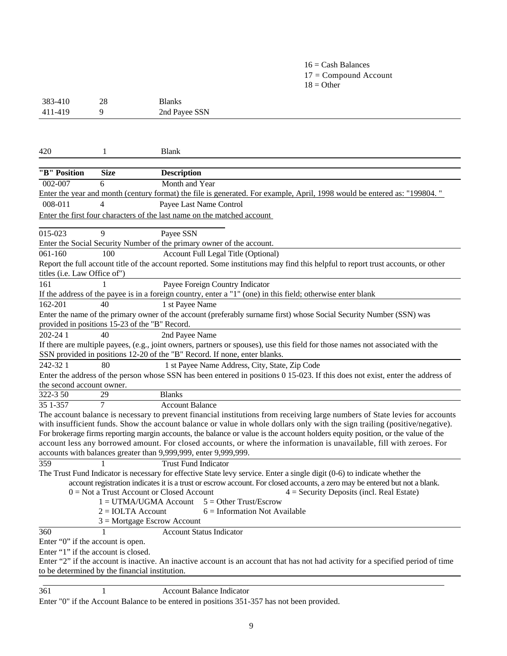# $16 =$ Cash Balances 17 = Compound Account  $18 = \text{Other}$

| 383-410                              | 28           | <b>Blanks</b>                                                                                                                                                                            |
|--------------------------------------|--------------|------------------------------------------------------------------------------------------------------------------------------------------------------------------------------------------|
| 411-419                              | 9            | 2nd Payee SSN                                                                                                                                                                            |
|                                      |              |                                                                                                                                                                                          |
|                                      |              |                                                                                                                                                                                          |
| 420                                  | 1            | <b>Blank</b>                                                                                                                                                                             |
|                                      |              |                                                                                                                                                                                          |
| "B" Position                         | <b>Size</b>  | <b>Description</b>                                                                                                                                                                       |
| 002-007                              | 6            | Month and Year                                                                                                                                                                           |
|                                      |              | Enter the year and month (century format) the file is generated. For example, April, 1998 would be entered as: "199804."                                                                 |
| 008-011                              | 4            | Payee Last Name Control                                                                                                                                                                  |
|                                      |              | Enter the first four characters of the last name on the matched account                                                                                                                  |
| 015-023                              | $\mathbf Q$  | Payee SSN                                                                                                                                                                                |
|                                      |              | Enter the Social Security Number of the primary owner of the account.                                                                                                                    |
| $061 - 160$                          | 100          | Account Full Legal Title (Optional)                                                                                                                                                      |
|                                      |              | Report the full account title of the account reported. Some institutions may find this helpful to report trust accounts, or other                                                        |
| titles ( <i>i.e.</i> Law Office of") |              |                                                                                                                                                                                          |
| 161                                  |              | Payee Foreign Country Indicator                                                                                                                                                          |
|                                      |              | If the address of the payee is in a foreign country, enter a "1" (one) in this field; otherwise enter blank                                                                              |
| 162-201                              | 40           | 1 st Payee Name                                                                                                                                                                          |
|                                      |              | Enter the name of the primary owner of the account (preferably surname first) whose Social Security Number (SSN) was                                                                     |
|                                      |              | provided in positions 15-23 of the "B" Record.                                                                                                                                           |
| 202-24 1                             | 40           | 2nd Payee Name                                                                                                                                                                           |
|                                      |              | If there are multiple payees, (e.g., joint owners, partners or spouses), use this field for those names not associated with the                                                          |
|                                      |              | SSN provided in positions 12-20 of the "B" Record. If none, enter blanks.                                                                                                                |
| 242-321                              | 80           | 1 st Payee Name Address, City, State, Zip Code                                                                                                                                           |
|                                      |              | Enter the address of the person whose SSN has been entered in positions 0 15-023. If this does not exist, enter the address of                                                           |
| the second account owner.            |              |                                                                                                                                                                                          |
| 322-3 50                             | 29           | <b>Blanks</b>                                                                                                                                                                            |
| 35 1-357                             | 7            | <b>Account Balance</b>                                                                                                                                                                   |
|                                      |              | The account balance is necessary to prevent financial institutions from receiving large numbers of State levies for accounts                                                             |
|                                      |              | with insufficient funds. Show the account balance or value in whole dollars only with the sign trailing (positive/negative).                                                             |
|                                      |              | For brokerage firms reporting margin accounts, the balance or value is the account holders equity position, or the value of the                                                          |
|                                      |              | account less any borrowed amount. For closed accounts, or where the information is unavailable, fill with zeroes. For<br>accounts with balances greater than 9,999,999, enter 9,999,999. |
| 359                                  | 1            | <b>Trust Fund Indicator</b>                                                                                                                                                              |
|                                      |              | The Trust Fund Indicator is necessary for effective State levy service. Enter a single digit (0-6) to indicate whether the                                                               |
|                                      |              | account registration indicates it is a trust or escrow account. For closed accounts, a zero may be entered but not a blank.                                                              |
|                                      |              | $0 = Not$ a Trust Account or Closed Account<br>$4 =$ Security Deposits (incl. Real Estate)                                                                                               |
|                                      |              | $5 =$ Other Trust/Escrow<br>$1 = U T M A / U G M A$ Account                                                                                                                              |
|                                      |              | $2 = IOLTA$ Account<br>$6 =$ Information Not Available                                                                                                                                   |
|                                      |              | $3$ = Mortgage Escrow Account                                                                                                                                                            |
| 360                                  | $\mathbf{1}$ | <b>Account Status Indicator</b>                                                                                                                                                          |
| Enter "0" if the account is open.    |              |                                                                                                                                                                                          |
| Enter "1" if the account is closed.  |              |                                                                                                                                                                                          |
|                                      |              | Enter "2" if the account is inactive. An inactive account is an account that has not had activity for a specified period of time                                                         |
|                                      |              | to be determined by the financial institution.                                                                                                                                           |

| 361 | Account Balance Indicator |
|-----|---------------------------|
|     |                           |

Enter "0" if the Account Balance to be entered in positions 351-357 has not been provided.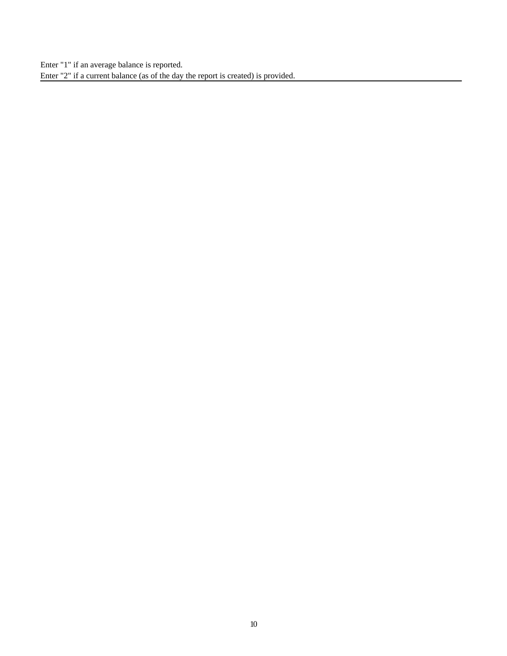Enter "1" if an average balance is reported. Enter "2" if a current balance (as of the day the report is created) is provided.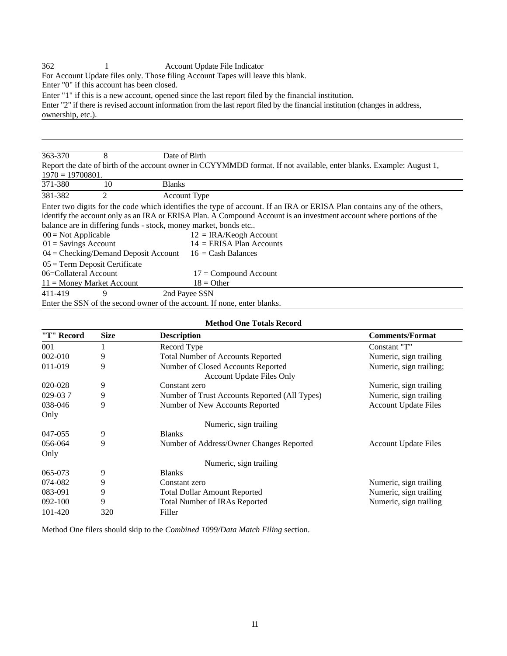362 1 Account Update File Indicator

For Account Update files only. Those filing Account Tapes will leave this blank.

Enter "0" if this account has been closed.

Enter "1" if this is a new account, opened since the last report filed by the financial institution.

Enter "2" if there is revised account information from the last report filed by the financial institution (changes in address, ownership, etc.).

| 363-370                                | 8                                                                        | Date of Birth       |                                                                                                                         |  |  |
|----------------------------------------|--------------------------------------------------------------------------|---------------------|-------------------------------------------------------------------------------------------------------------------------|--|--|
|                                        |                                                                          |                     | Report the date of birth of the account owner in CCYYMMDD format. If not available, enter blanks. Example: August 1,    |  |  |
| $1970 = 19700801.$                     |                                                                          |                     |                                                                                                                         |  |  |
| 371-380                                | 10                                                                       | <b>Blanks</b>       |                                                                                                                         |  |  |
| 381-382                                | 2                                                                        | <b>Account Type</b> |                                                                                                                         |  |  |
|                                        |                                                                          |                     | Enter two digits for the code which identifies the type of account. If an IRA or ERISA Plan contains any of the others, |  |  |
|                                        |                                                                          |                     | identify the account only as an IRA or ERISA Plan. A Compound Account is an investment account where portions of the    |  |  |
|                                        |                                                                          |                     | balance are in differing funds - stock, money market, bonds etc                                                         |  |  |
| $00 = Not Applicable$                  |                                                                          |                     | $12 = IRA/Keogh$ Account                                                                                                |  |  |
| $01 =$ Savings Account                 |                                                                          |                     | $14 = ERISA$ Plan Accounts                                                                                              |  |  |
| $04 =$ Checking/Demand Deposit Account |                                                                          |                     | $16 =$ Cash Balances                                                                                                    |  |  |
| $05 =$ Term Deposit Certificate        |                                                                          |                     |                                                                                                                         |  |  |
|                                        | 06=Collateral Account<br>$17 =$ Compound Account                         |                     |                                                                                                                         |  |  |
| $11 =$ Money Market Account            |                                                                          |                     | $18 =$ Other                                                                                                            |  |  |
| 411-419                                | 9                                                                        | 2nd Payee SSN       |                                                                                                                         |  |  |
|                                        | Enter the SSN of the second owner of the account. If none, enter blanks. |                     |                                                                                                                         |  |  |

|             | <b>Method One Totals Record</b> |                                                                        |                             |  |  |
|-------------|---------------------------------|------------------------------------------------------------------------|-----------------------------|--|--|
| "T" Record  | <b>Size</b>                     | <b>Description</b>                                                     | <b>Comments/Format</b>      |  |  |
| 001         |                                 | Record Type                                                            | Constant "T"                |  |  |
| $002 - 010$ | 9                               | <b>Total Number of Accounts Reported</b>                               | Numeric, sign trailing      |  |  |
| 011-019     | 9                               | Number of Closed Accounts Reported<br><b>Account Update Files Only</b> | Numeric, sign trailing;     |  |  |
| 020-028     | 9                               | Constant zero                                                          | Numeric, sign trailing      |  |  |
| 029-037     | 9                               | Number of Trust Accounts Reported (All Types)                          | Numeric, sign trailing      |  |  |
| 038-046     | 9                               | Number of New Accounts Reported                                        | <b>Account Update Files</b> |  |  |
| Only        |                                 |                                                                        |                             |  |  |
|             |                                 | Numeric, sign trailing                                                 |                             |  |  |
| 047-055     | 9                               | <b>Blanks</b>                                                          |                             |  |  |
| 056-064     | 9                               | Number of Address/Owner Changes Reported                               | <b>Account Update Files</b> |  |  |
| Only        |                                 |                                                                        |                             |  |  |
|             |                                 | Numeric, sign trailing                                                 |                             |  |  |
| 065-073     | 9                               | <b>Blanks</b>                                                          |                             |  |  |
| 074-082     | 9                               | Constant zero                                                          | Numeric, sign trailing      |  |  |
| 083-091     | 9                               | <b>Total Dollar Amount Reported</b>                                    | Numeric, sign trailing      |  |  |
| $092 - 100$ | 9                               | <b>Total Number of IRAs Reported</b>                                   | Numeric, sign trailing      |  |  |
| 101-420     | 320                             | Filler                                                                 |                             |  |  |

Method One filers should skip to the *Combined 1099/Data Match Filing* section.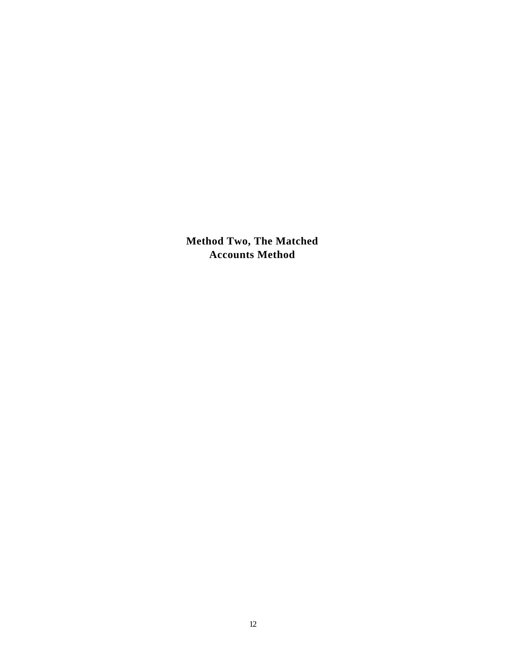**Method Two, The Matched Accounts Method**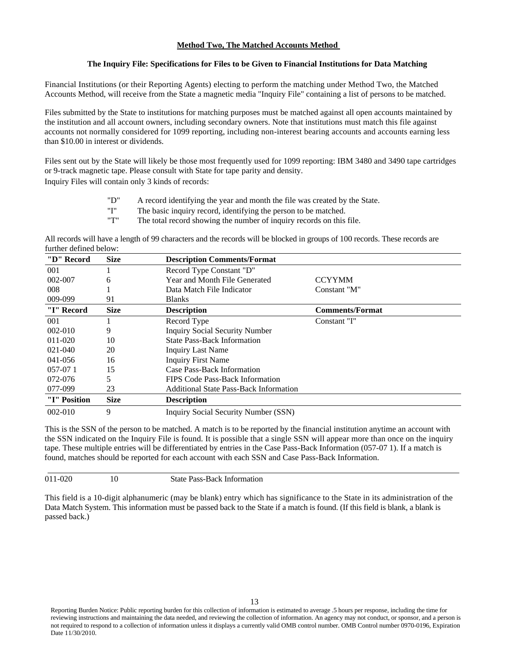# **Method Two, The Matched Accounts Method**

## **The Inquiry File: Specifications for Files to be Given to Financial Institutions for Data Matching**

Financial Institutions (or their Reporting Agents) electing to perform the matching under Method Two, the Matched Accounts Method, will receive from the State a magnetic media "Inquiry File" containing a list of persons to be matched.

Files submitted by the State to institutions for matching purposes must be matched against all open accounts maintained by the institution and all account owners, including secondary owners. Note that institutions must match this file against accounts not normally considered for 1099 reporting, including non-interest bearing accounts and accounts earning less than \$10.00 in interest or dividends.

Files sent out by the State will likely be those most frequently used for 1099 reporting: IBM 3480 and 3490 tape cartridges or 9-track magnetic tape. Please consult with State for tape parity and density. Inquiry Files will contain only 3 kinds of records:

- "D" A record identifying the year and month the file was created by the State.
- "I" The basic inquiry record, identifying the person to be matched.<br>"T" The total record showing the number of inquiry records on this
- The total record showing the number of inquiry records on this file.

All records will have a length of 99 characters and the records will be blocked in groups of 100 records. These records are further defined below:

| "D" Record   | <b>Size</b> | <b>Description Comments/Format</b>            |                        |  |
|--------------|-------------|-----------------------------------------------|------------------------|--|
| 001          |             | Record Type Constant "D"                      |                        |  |
| 002-007      | 6           | Year and Month File Generated                 | <b>CCYYMM</b>          |  |
| 008          |             | Data Match File Indicator                     | Constant "M"           |  |
| 009-099      | 91          | <b>Blanks</b>                                 |                        |  |
| "I" Record   | <b>Size</b> | <b>Description</b>                            | <b>Comments/Format</b> |  |
| 001          |             | Record Type                                   | Constant "I"           |  |
| 002-010      | 9           | <b>Inquiry Social Security Number</b>         |                        |  |
| 011-020      | 10          | <b>State Pass-Back Information</b>            |                        |  |
| 021-040      | 20          | <b>Inquiry Last Name</b>                      |                        |  |
| $041 - 056$  | 16          | <b>Inquiry First Name</b>                     |                        |  |
| $057-071$    | 15          | Case Pass-Back Information                    |                        |  |
| 072-076      | 5           | FIPS Code Pass-Back Information               |                        |  |
| 077-099      | 23          | <b>Additional State Pass-Back Information</b> |                        |  |
| "I" Position | <b>Size</b> | <b>Description</b>                            |                        |  |
| $002 - 010$  | 9           | Inquiry Social Security Number (SSN)          |                        |  |

This is the SSN of the person to be matched. A match is to be reported by the financial institution anytime an account with the SSN indicated on the Inquiry File is found. It is possible that a single SSN will appear more than once on the inquiry tape. These multiple entries will be differentiated by entries in the Case Pass-Back Information (057-07 1). If a match is found, matches should be reported for each account with each SSN and Case Pass-Back Information.

011-020 10 State Pass-Back Information

This field is a 10-digit alphanumeric (may be blank) entry which has significance to the State in its administration of the Data Match System. This information must be passed back to the State if a match is found. (If this field is blank, a blank is passed back.)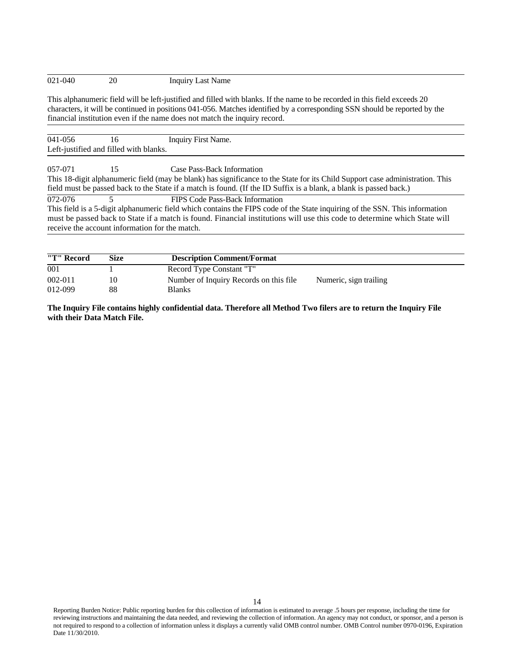# 021-040 20 Inquiry Last Name

This alphanumeric field will be left-justified and filled with blanks. If the name to be recorded in this field exceeds 20 characters, it will be continued in positions 041-056. Matches identified by a corresponding SSN should be reported by the financial institution even if the name does not match the inquiry record.

| 041-056 | 16                                     | Inquiry First Name.                                                                                                                                                                                                                                                                                                                           |
|---------|----------------------------------------|-----------------------------------------------------------------------------------------------------------------------------------------------------------------------------------------------------------------------------------------------------------------------------------------------------------------------------------------------|
|         | Left-justified and filled with blanks. |                                                                                                                                                                                                                                                                                                                                               |
| 057-071 | 15                                     | Case Pass-Back Information                                                                                                                                                                                                                                                                                                                    |
|         |                                        | This 18-digit alphanumeric field (may be blank) has significance to the State for its Child Support case administration. This<br>field must be passed back to the State if a match is found. (If the ID Suffix is a blank, a blank is passed back.)                                                                                           |
| 072-076 |                                        | FIPS Code Pass-Back Information<br>This field is a 5-digit alphanumeric field which contains the FIPS code of the State inquiring of the SSN. This information<br>must be passed back to State if a match is found. Financial institutions will use this code to determine which State will<br>receive the account information for the match. |

| "T" Record  | Size | <b>Description Comment/Format</b>      |                        |  |  |
|-------------|------|----------------------------------------|------------------------|--|--|
| 001         |      | Record Type Constant "T"               |                        |  |  |
| $002 - 011$ | 10   | Number of Inquiry Records on this file | Numeric, sign trailing |  |  |
| 012-099     | 88   | <b>Blanks</b>                          |                        |  |  |

**The Inquiry File contains highly confidential data. Therefore all Method Two filers are to return the Inquiry File with their Data Match File.**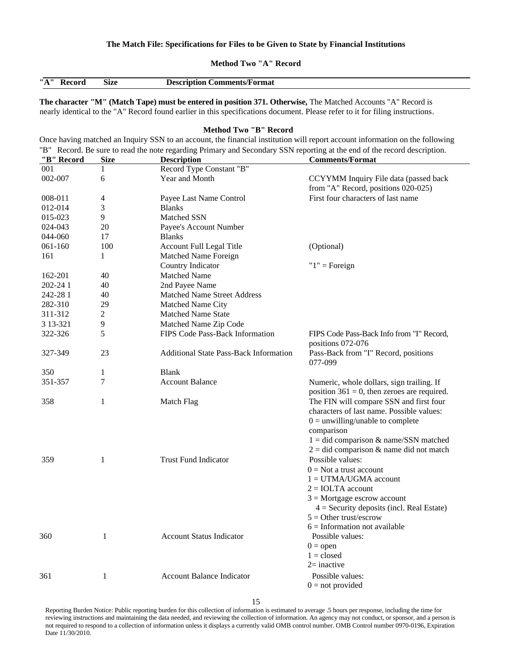## **The Match File: Specifications for Files to be Given to State by Financial Institutions**

**Method Two "A" Record**

| "A" | Size | <b>Comments/Format</b><br>-Description |
|-----|------|----------------------------------------|

**The character "M" (Match Tape) must be entered in position 371. Otherwise,** The Matched Accounts "A" Record is nearly identical to the "A" Record found earlier in this specifications document. Please refer to it for filing instructions.

#### **Method Two "B" Record**

Once having matched an Inquiry SSN to an account, the financial institution will report account information on the following "B" Record. Be sure to read the note regarding Primary and Secondary SSN reporting at the end of the record description.

| "B" Record  | <b>Size</b>  | <b>Description</b>                            | <b>Comments/Format</b>                         |
|-------------|--------------|-----------------------------------------------|------------------------------------------------|
| 001         | 1            | Record Type Constant "B"                      |                                                |
| 002-007     | 6            | Year and Month                                | CCYYMM Inquiry File data (passed back          |
|             |              |                                               | from "A" Record, positions 020-025)            |
| 008-011     | 4            | Payee Last Name Control                       | First four characters of last name             |
| 012-014     | 3            | <b>Blanks</b>                                 |                                                |
| 015-023     | 9            | <b>Matched SSN</b>                            |                                                |
| 024-043     | 20           | Payee's Account Number                        |                                                |
| 044-060     | 17           | <b>Blanks</b>                                 |                                                |
| $061 - 160$ | 100          | <b>Account Full Legal Title</b>               | (Optional)                                     |
| 161         | 1            | Matched Name Foreign                          |                                                |
|             |              | Country Indicator                             | " $1$ " = Foreign                              |
| 162-201     | 40           | <b>Matched Name</b>                           |                                                |
| 202-24 1    | 40           | 2nd Payee Name                                |                                                |
| 242-281     | 40           | <b>Matched Name Street Address</b>            |                                                |
| 282-310     | 29           | Matched Name City                             |                                                |
| 311-312     | 2            | <b>Matched Name State</b>                     |                                                |
| 3 13 - 321  | 9            | Matched Name Zip Code                         |                                                |
| 322-326     | 5            | FIPS Code Pass-Back Information               | FIPS Code Pass-Back Info from "I" Record,      |
|             |              |                                               | positions 072-076                              |
| 327-349     | 23           | <b>Additional State Pass-Back Information</b> | Pass-Back from "I" Record, positions           |
|             |              |                                               | 077-099                                        |
| 350         | 1            | <b>Blank</b>                                  |                                                |
| 351-357     | 7            | <b>Account Balance</b>                        | Numeric, whole dollars, sign trailing. If      |
|             |              |                                               | position $361 = 0$ , then zeroes are required. |
| 358         | 1            | Match Flag                                    | The FIN will compare SSN and first four        |
|             |              |                                               | characters of last name. Possible values:      |
|             |              |                                               | $0 =$ unwilling/unable to complete             |
|             |              |                                               | comparison                                     |
|             |              |                                               | $1 =$ did comparison & name/SSN matched        |
|             |              |                                               | $2 =$ did comparison & name did not match      |
| 359         | $\mathbf{1}$ | <b>Trust Fund Indicator</b>                   | Possible values:                               |
|             |              |                                               | $0 = Not$ a trust account                      |
|             |              |                                               | $1 = UTMA/UGMA$ account                        |
|             |              |                                               | $2 = IOLTA$ account                            |
|             |              |                                               | $3$ = Mortgage escrow account                  |
|             |              |                                               | $4 =$ Security deposits (incl. Real Estate)    |
|             |              |                                               | $5 =$ Other trust/escrow                       |
|             |              |                                               | $6 =$ Information not available                |
| 360         | $\mathbf{1}$ | <b>Account Status Indicator</b>               | Possible values:                               |
|             |              |                                               | $0 =$ open                                     |
|             |              |                                               | $1 = closed$                                   |
|             |              |                                               | $2=$ inactive                                  |
| 361         | 1            | <b>Account Balance Indicator</b>              | Possible values:                               |
|             |              |                                               | $0 = not provided$                             |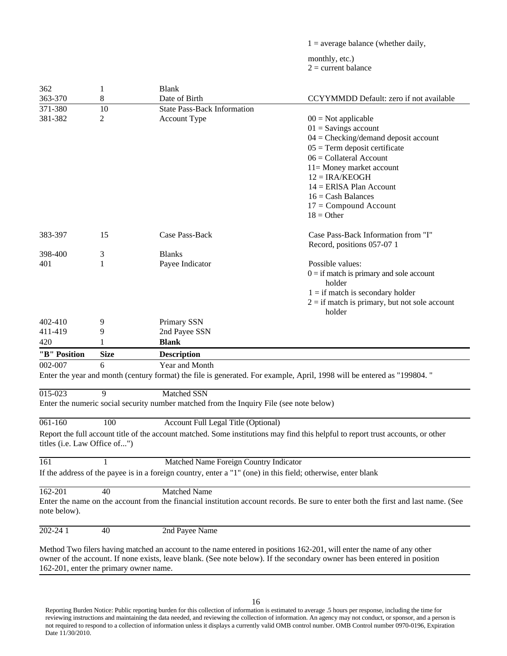$1 =$  average balance (whether daily,

monthly, etc.)  $2 =$  current balance

| 362                          | $\mathbf{1}$ | <b>Blank</b>                                                                                                 |                                                                                                                                   |
|------------------------------|--------------|--------------------------------------------------------------------------------------------------------------|-----------------------------------------------------------------------------------------------------------------------------------|
| 363-370                      | 8            | Date of Birth                                                                                                | CCYYMMDD Default: zero if not available                                                                                           |
| 371-380                      | 10           | <b>State Pass-Back Information</b>                                                                           |                                                                                                                                   |
| 381-382                      | 2            | <b>Account Type</b>                                                                                          | $00 = Not applicable$                                                                                                             |
|                              |              |                                                                                                              | $01 =$ Savings account                                                                                                            |
|                              |              |                                                                                                              | $04 =$ Checking/demand deposit account                                                                                            |
|                              |              |                                                                                                              | $05 = Term$ deposit certificate                                                                                                   |
|                              |              |                                                                                                              | $06 =$ Collateral Account                                                                                                         |
|                              |              |                                                                                                              | $11 =$ Money market account                                                                                                       |
|                              |              |                                                                                                              | $12 = IRA/KEOGH$                                                                                                                  |
|                              |              |                                                                                                              | $14 = ERISA$ Plan Account                                                                                                         |
|                              |              |                                                                                                              | $16 =$ Cash Balances                                                                                                              |
|                              |              |                                                                                                              | $17 = Compound Account$                                                                                                           |
|                              |              |                                                                                                              | $18 = Other$                                                                                                                      |
| 383-397                      | 15           | Case Pass-Back                                                                                               | Case Pass-Back Information from "I"                                                                                               |
|                              |              |                                                                                                              | Record, positions 057-07 1                                                                                                        |
| 398-400                      | 3            | <b>Blanks</b>                                                                                                |                                                                                                                                   |
| 401                          | 1            | Payee Indicator                                                                                              | Possible values:                                                                                                                  |
|                              |              |                                                                                                              | $0 =$ if match is primary and sole account                                                                                        |
|                              |              |                                                                                                              | holder                                                                                                                            |
|                              |              |                                                                                                              | $1 =$ if match is secondary holder                                                                                                |
|                              |              |                                                                                                              | $2 =$ if match is primary, but not sole account                                                                                   |
|                              |              |                                                                                                              | holder                                                                                                                            |
| 402-410                      | 9            | Primary SSN                                                                                                  |                                                                                                                                   |
| 411-419                      | 9            | 2nd Payee SSN                                                                                                |                                                                                                                                   |
| 420                          |              | <b>Blank</b>                                                                                                 |                                                                                                                                   |
| "B" Position                 | <b>Size</b>  | <b>Description</b>                                                                                           |                                                                                                                                   |
| 002-007                      | 6            | Year and Month                                                                                               |                                                                                                                                   |
|                              |              |                                                                                                              | Enter the year and month (century format) the file is generated. For example, April, 1998 will be entered as "199804."            |
| $015 - 023$                  | 9            | <b>Matched SSN</b>                                                                                           |                                                                                                                                   |
|                              |              | Enter the numeric social security number matched from the Inquiry File (see note below)                      |                                                                                                                                   |
|                              |              |                                                                                                              |                                                                                                                                   |
| 061-160                      | 100          | <b>Account Full Legal Title (Optional)</b>                                                                   |                                                                                                                                   |
| titles (i.e. Law Office of") |              |                                                                                                              | Report the full account title of the account matched. Some institutions may find this helpful to report trust accounts, or other  |
| 161                          |              | Matched Name Foreign Country Indicator                                                                       |                                                                                                                                   |
|                              |              | If the address of the payee is in a foreign country, enter a "1" (one) in this field; otherwise, enter blank |                                                                                                                                   |
| 162-201                      | 40           | <b>Matched Name</b>                                                                                          |                                                                                                                                   |
| note below).                 |              |                                                                                                              | Enter the name on the account from the financial institution account records. Be sure to enter both the first and last name. (See |
| $202 - 241$                  | 40           | 2nd Payee Name                                                                                               |                                                                                                                                   |
|                              |              |                                                                                                              | Method Two filers having matched an account to the name entered in positions 162-201, will enter the name of any other            |

owner of the account. If none exists, leave blank. (See note below). If the secondary owner has been entered in position 162-201, enter the primary owner name.

16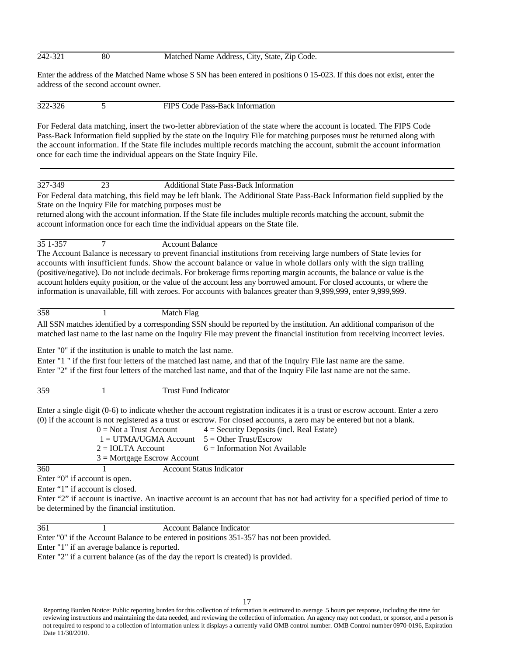#### 242-321 80 Matched Name Address, City, State, Zip Code.

Enter the address of the Matched Name whose S SN has been entered in positions 0 15-023. If this does not exist, enter the address of the second account owner.

322-326 5 FIPS Code Pass-Back Information

For Federal data matching, insert the two-letter abbreviation of the state where the account is located. The FIPS Code Pass-Back Information field supplied by the state on the Inquiry File for matching purposes must be returned along with the account information. If the State file includes multiple records matching the account, submit the account information once for each time the individual appears on the State Inquiry File.

# 327-349 23 Additional State Pass-Back Information

For Federal data matching, this field may be left blank. The Additional State Pass-Back Information field supplied by the State on the Inquiry File for matching purposes must be

returned along with the account information. If the State file includes multiple records matching the account, submit the account information once for each time the individual appears on the State file.

35 1-357 7 Account Balance

The Account Balance is necessary to prevent financial institutions from receiving large numbers of State levies for accounts with insufficient funds. Show the account balance or value in whole dollars only with the sign trailing (positive/negative). Do not include decimals. For brokerage firms reporting margin accounts, the balance or value is the account holders equity position, or the value of the account less any borrowed amount. For closed accounts, or where the information is unavailable, fill with zeroes. For accounts with balances greater than 9,999,999, enter 9,999,999.

358 1 Match Flag

All SSN matches identified by a corresponding SSN should be reported by the institution. An additional comparison of the matched last name to the last name on the Inquiry File may prevent the financial institution from receiving incorrect levies.

Enter "0" if the institution is unable to match the last name.

Enter "1 " if the first four letters of the matched last name, and that of the Inquiry File last name are the same. Enter "2" if the first four letters of the matched last name, and that of the Inquiry File last name are not the same.

359 1 Trust Fund Indicator

Enter a single digit (0-6) to indicate whether the account registration indicates it is a trust or escrow account. Enter a zero (0) if the account is not registered as a trust or escrow. For closed accounts, a zero may be entered but not a blank.

|     | $0 = Not$ a Trust Account                        | $4 =$ Security Deposits (incl. Real Estate) |
|-----|--------------------------------------------------|---------------------------------------------|
|     | $1 = UTMA/UGMA$ Account $5 = Other Trust/Escrow$ |                                             |
|     | $2 = IOLTA$ Account                              | $6 =$ Information Not Available             |
|     | $3$ = Mortgage Escrow Account                    |                                             |
| 360 |                                                  | Account Status Indicator                    |

Enter "0" if account is open.

Enter "1" if account is closed.

Enter "2" if account is inactive. An inactive account is an account that has not had activity for a specified period of time to be determined by the financial institution.

361 1 Account Balance Indicator

Enter "0" if the Account Balance to be entered in positions 351-357 has not been provided.

Enter "1" if an average balance is reported.

Enter "2" if a current balance (as of the day the report is created) is provided.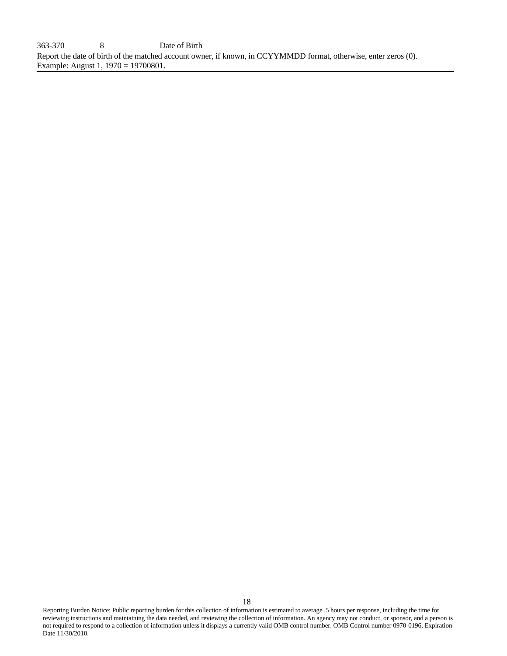363-370 8 Date of Birth Report the date of birth of the matched account owner, if known, in CCYYMMDD format, otherwise, enter zeros (0). Example: August 1, 1970 = 19700801.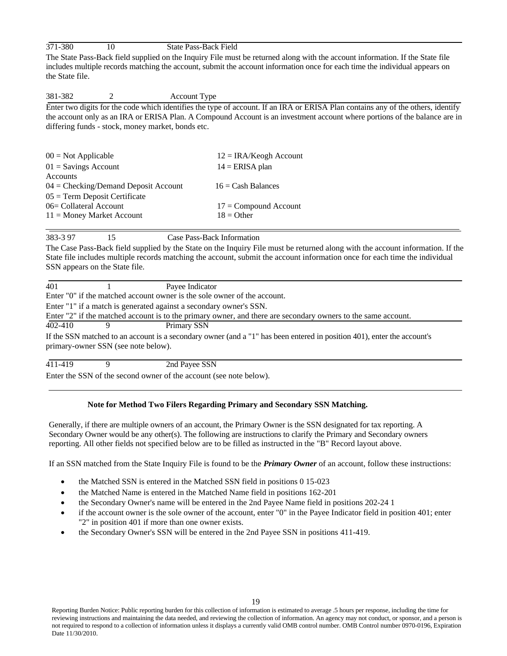| 371-380 | <b>State Pass-Back Field</b> |
|---------|------------------------------|
|         |                              |

The State Pass-Back field supplied on the Inquiry File must be returned along with the account information. If the State file includes multiple records matching the account, submit the account information once for each time the individual appears on the State file.

# 381-382 2 Account Type

Enter two digits for the code which identifies the type of account. If an IRA or ERISA Plan contains any of the others, identify the account only as an IRA or ERISA Plan. A Compound Account is an investment account where portions of the balance are in differing funds - stock, money market, bonds etc.

| $12 = IRA/Keogh Account$ |
|--------------------------|
| $14 = ERISA$ plan        |
|                          |
| $16 =$ Cash Balances     |
|                          |
| $17 =$ Compound Account  |
| $18 =$ Other             |
|                          |

383-3 97 15 Case Pass-Back Information

The Case Pass-Back field supplied by the State on the Inquiry File must be returned along with the account information. If the State file includes multiple records matching the account, submit the account information once for each time the individual SSN appears on the State file.

| 401     |                                     | Payee Indicator                                                          |                                                                                                                         |
|---------|-------------------------------------|--------------------------------------------------------------------------|-------------------------------------------------------------------------------------------------------------------------|
|         |                                     | Enter "0" if the matched account owner is the sole owner of the account. |                                                                                                                         |
|         |                                     | Enter "1" if a match is generated against a secondary owner's SSN.       |                                                                                                                         |
|         |                                     |                                                                          | Enter "2" if the matched account is to the primary owner, and there are secondary owners to the same account.           |
| 402-410 |                                     | Primary SSN                                                              |                                                                                                                         |
|         | primary-owner SSN (see note below). |                                                                          | If the SSN matched to an account is a secondary owner (and a "1" has been entered in position 401), enter the account's |
| 411-419 |                                     | 2nd Payee SSN                                                            |                                                                                                                         |

Enter the SSN of the second owner of the account (see note below).

# **Note for Method Two Filers Regarding Primary and Secondary SSN Matching.**

Generally, if there are multiple owners of an account, the Primary Owner is the SSN designated for tax reporting. A Secondary Owner would be any other(s). The following are instructions to clarify the Primary and Secondary owners reporting. All other fields not specified below are to be filled as instructed in the "B" Record layout above.

If an SSN matched from the State Inquiry File is found to be the *Primary Owner* of an account, follow these instructions:

- the Matched SSN is entered in the Matched SSN field in positions 0 15-023
- the Matched Name is entered in the Matched Name field in positions 162-201
- the Secondary Owner's name will be entered in the 2nd Payee Name field in positions 202-24 1
- if the account owner is the sole owner of the account, enter "0" in the Payee Indicator field in position 401; enter "2" in position 401 if more than one owner exists.
- the Secondary Owner's SSN will be entered in the 2nd Payee SSN in positions 411-419.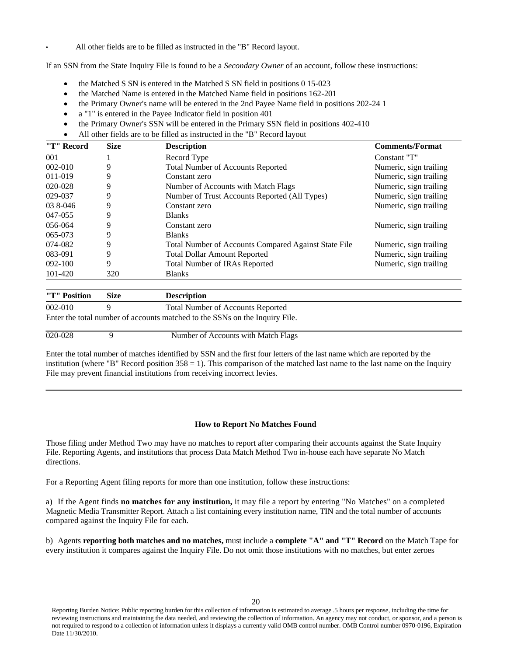• All other fields are to be filled as instructed in the "B" Record layout.

If an SSN from the State Inquiry File is found to be a *Secondary Owner* of an account, follow these instructions:

- the Matched S SN is entered in the Matched S SN field in positions 0 15-023
- the Matched Name is entered in the Matched Name field in positions 162-201
- the Primary Owner's name will be entered in the 2nd Payee Name field in positions 202-24 1
- a "1" is entered in the Payee Indicator field in position 401
- the Primary Owner's SSN will be entered in the Primary SSN field in positions 402-410
- All other fields are to be filled as instructed in the "B" Record layout

| "T" Record  | <b>Size</b><br><b>Description</b> |                                                                                | <b>Comments/Format</b> |  |
|-------------|-----------------------------------|--------------------------------------------------------------------------------|------------------------|--|
| 001         |                                   | Record Type                                                                    | Constant "T"           |  |
| $002 - 010$ | 9                                 | <b>Total Number of Accounts Reported</b>                                       | Numeric, sign trailing |  |
| 011-019     | 9                                 | Constant zero                                                                  | Numeric, sign trailing |  |
| 020-028     | 9                                 | Number of Accounts with Match Flags                                            | Numeric, sign trailing |  |
| 029-037     | 9                                 | Number of Trust Accounts Reported (All Types)                                  | Numeric, sign trailing |  |
| 03 8-046    | 9                                 | Numeric, sign trailing<br>Constant zero                                        |                        |  |
| 047-055     | 9                                 | <b>Blanks</b>                                                                  |                        |  |
| 056-064     | 9                                 | Numeric, sign trailing<br>Constant zero                                        |                        |  |
| 065-073     | 9                                 | <b>Blanks</b>                                                                  |                        |  |
| 074-082     | 9                                 | Total Number of Accounts Compared Against State File<br>Numeric, sign trailing |                        |  |
| 083-091     | 9                                 | Numeric, sign trailing<br><b>Total Dollar Amount Reported</b>                  |                        |  |
| 092-100     | 9                                 | <b>Total Number of IRAs Reported</b>                                           | Numeric, sign trailing |  |
| 101-420     | 320                               | <b>Blanks</b>                                                                  |                        |  |

| "T" Position | Size | <b>Description</b>                                                          |  |
|--------------|------|-----------------------------------------------------------------------------|--|
| $002 - 010$  |      | <b>Total Number of Accounts Reported</b>                                    |  |
|              |      | Enter the total number of accounts matched to the SSNs on the Inquiry File. |  |
| 020-028      |      | Number of Accounts with Match Flags                                         |  |

Enter the total number of matches identified by SSN and the first four letters of the last name which are reported by the institution (where "B" Record position  $358 = 1$ ). This comparison of the matched last name to the last name on the Inquiry File may prevent financial institutions from receiving incorrect levies.

## **How to Report No Matches Found**

Those filing under Method Two may have no matches to report after comparing their accounts against the State Inquiry File. Reporting Agents, and institutions that process Data Match Method Two in-house each have separate No Match directions.

For a Reporting Agent filing reports for more than one institution, follow these instructions:

a) If the Agent finds **no matches for any institution,** it may file a report by entering "No Matches" on a completed Magnetic Media Transmitter Report. Attach a list containing every institution name, TIN and the total number of accounts compared against the Inquiry File for each.

b) Agents **reporting both matches and no matches,** must include a **complete "A" and "T" Record** on the Match Tape for every institution it compares against the Inquiry File. Do not omit those institutions with no matches, but enter zeroes

Reporting Burden Notice: Public reporting burden for this collection of information is estimated to average .5 hours per response, including the time for reviewing instructions and maintaining the data needed, and reviewing the collection of information. An agency may not conduct, or sponsor, and a person is not required to respond to a collection of information unless it displays a currently valid OMB control number. OMB Control number 0970-0196, Expiration Date 11/30/2010.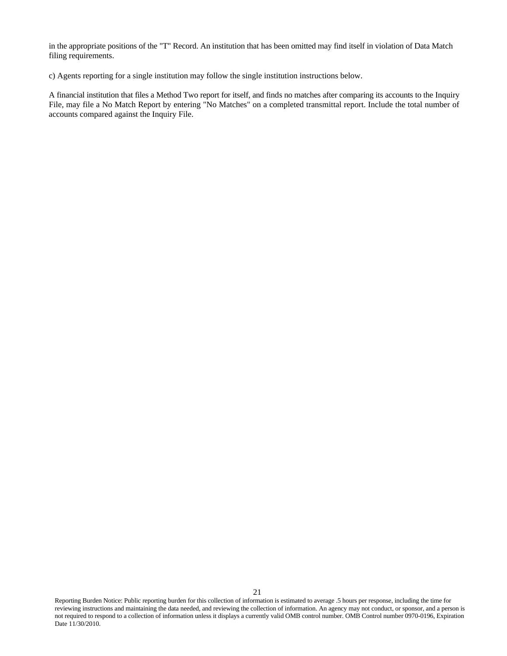in the appropriate positions of the "T" Record. An institution that has been omitted may find itself in violation of Data Match filing requirements.

c) Agents reporting for a single institution may follow the single institution instructions below.

A financial institution that files a Method Two report for itself, and finds no matches after comparing its accounts to the Inquiry File, may file a No Match Report by entering "No Matches" on a completed transmittal report. Include the total number of accounts compared against the Inquiry File.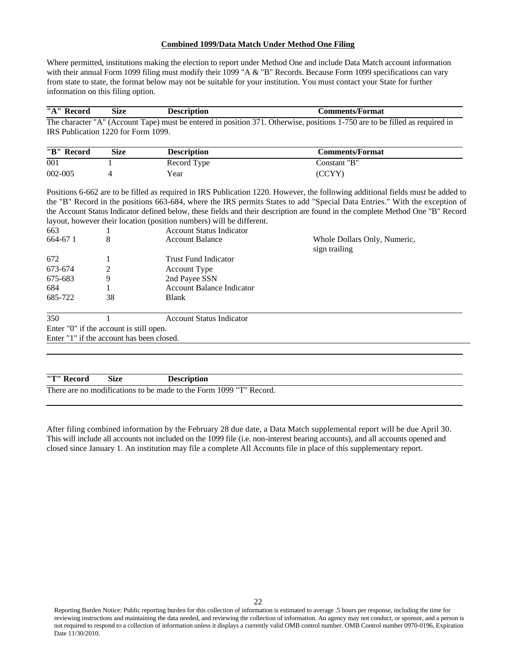# **Combined 1099/Data Match Under Method One Filing**

Where permitted, institutions making the election to report under Method One and include Data Match account information with their annual Form 1099 filing must modify their 1099 "A & "B" Records. Because Form 1099 specifications can vary from state to state, the format below may not be suitable for your institution. You must contact your State for further information on this filing option.

|                                           | <b>Size</b> | <b>Description</b>                                                   | <b>Comments/Format</b>                                                                                                                                                                                                                                                                                                                                                                          |  |
|-------------------------------------------|-------------|----------------------------------------------------------------------|-------------------------------------------------------------------------------------------------------------------------------------------------------------------------------------------------------------------------------------------------------------------------------------------------------------------------------------------------------------------------------------------------|--|
|                                           |             |                                                                      | The character "A" (Account Tape) must be entered in position 371. Otherwise, positions 1-750 are to be filled as required in                                                                                                                                                                                                                                                                    |  |
| IRS Publication 1220 for Form 1099.       |             |                                                                      |                                                                                                                                                                                                                                                                                                                                                                                                 |  |
|                                           |             |                                                                      |                                                                                                                                                                                                                                                                                                                                                                                                 |  |
| "B" Record                                | <b>Size</b> | <b>Description</b>                                                   | <b>Comments/Format</b>                                                                                                                                                                                                                                                                                                                                                                          |  |
| 001                                       |             | Record Type                                                          | Constant "B"                                                                                                                                                                                                                                                                                                                                                                                    |  |
| 002-005                                   | 4           | Year                                                                 | (CCYY)                                                                                                                                                                                                                                                                                                                                                                                          |  |
|                                           |             |                                                                      | Positions 6-662 are to be filled as required in IRS Publication 1220. However, the following additional fields must be added to<br>the "B" Record in the positions 663-684, where the IRS permits States to add "Special Data Entries." With the exception of<br>the Account Status Indicator defined below, these fields and their description are found in the complete Method One "B" Record |  |
|                                           |             | layout, however their location (position numbers) will be different. |                                                                                                                                                                                                                                                                                                                                                                                                 |  |
| 663                                       |             | <b>Account Status Indicator</b>                                      |                                                                                                                                                                                                                                                                                                                                                                                                 |  |
| 664-671                                   | 8           | <b>Account Balance</b>                                               | Whole Dollars Only, Numeric,<br>sign trailing                                                                                                                                                                                                                                                                                                                                                   |  |
| 672                                       |             | <b>Trust Fund Indicator</b>                                          |                                                                                                                                                                                                                                                                                                                                                                                                 |  |
| 673-674                                   | 2           | <b>Account Type</b>                                                  |                                                                                                                                                                                                                                                                                                                                                                                                 |  |
| 675-683                                   | 9           | 2nd Payee SSN                                                        |                                                                                                                                                                                                                                                                                                                                                                                                 |  |
| 684                                       |             | <b>Account Balance Indicator</b>                                     |                                                                                                                                                                                                                                                                                                                                                                                                 |  |
| 685-722                                   | 38          | <b>Blank</b>                                                         |                                                                                                                                                                                                                                                                                                                                                                                                 |  |
| 350                                       |             | <b>Account Status Indicator</b>                                      |                                                                                                                                                                                                                                                                                                                                                                                                 |  |
| Enter "0" if the account is still open.   |             |                                                                      |                                                                                                                                                                                                                                                                                                                                                                                                 |  |
| Enter "1" if the account has been closed. |             |                                                                      |                                                                                                                                                                                                                                                                                                                                                                                                 |  |

| "T"                                                                | Size | <b>Description</b> |  |  |  |  |  |
|--------------------------------------------------------------------|------|--------------------|--|--|--|--|--|
| There are no modifications to be made to the Form 1099 "T" Record. |      |                    |  |  |  |  |  |

After filing combined information by the February 28 due date, a Data Match supplemental report will be due April 30. This will include all accounts not included on the 1099 file (i.e. non-interest bearing accounts), and all accounts opened and closed since January 1. An institution may file a complete All Accounts file in place of this supplementary report.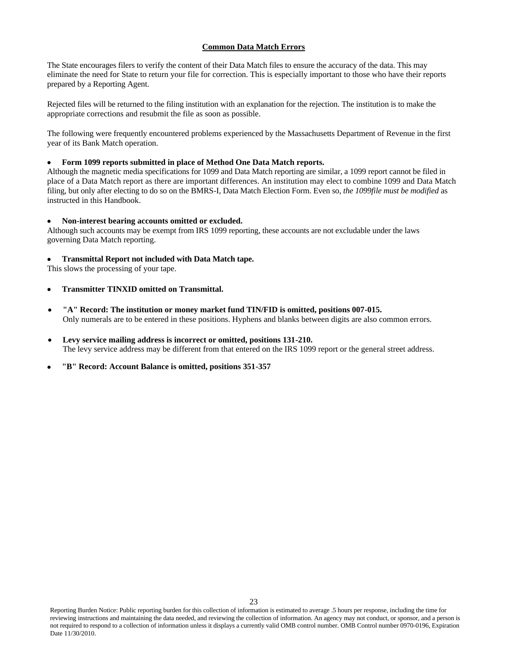# **Common Data Match Errors**

The State encourages filers to verify the content of their Data Match files to ensure the accuracy of the data. This may eliminate the need for State to return your file for correction. This is especially important to those who have their reports prepared by a Reporting Agent.

Rejected files will be returned to the filing institution with an explanation for the rejection. The institution is to make the appropriate corrections and resubmit the file as soon as possible.

The following were frequently encountered problems experienced by the Massachusetts Department of Revenue in the first year of its Bank Match operation.

## **Form 1099 reports submitted in place of Method One Data Match reports.**

Although the magnetic media specifications for 1099 and Data Match reporting are similar, a 1099 report cannot be filed in place of a Data Match report as there are important differences. An institution may elect to combine 1099 and Data Match filing, but only after electing to do so on the BMRS-I, Data Match Election Form. Even so, *the 1099file must be modified* as instructed in this Handbook.

# **Non-interest bearing accounts omitted or excluded.**

Although such accounts may be exempt from IRS 1099 reporting, these accounts are not excludable under the laws governing Data Match reporting.

# **Transmittal Report not included with Data Match tape.**

This slows the processing of your tape.

- **Transmitter TINXID omitted on Transmittal.**
- **"A" Record: The institution or money market fund TIN/FID is omitted, positions 007-015.** Only numerals are to be entered in these positions. Hyphens and blanks between digits are also common errors.
- **Levy service mailing address is incorrect or omitted, positions 131-210.** The levy service address may be different from that entered on the IRS 1099 report or the general street address.
- **"B" Record: Account Balance is omitted, positions 351-357**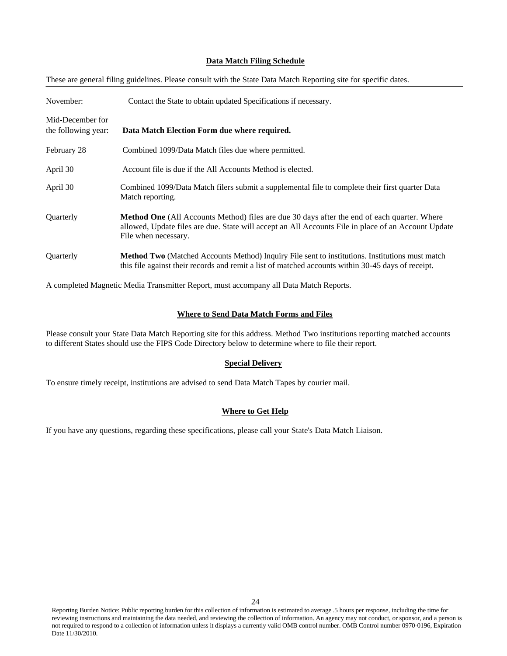### **Data Match Filing Schedule**

These are general filing guidelines. Please consult with the State Data Match Reporting site for specific dates.

| November:                               | Contact the State to obtain updated Specifications if necessary.                                                                                                                                                                  |  |  |
|-----------------------------------------|-----------------------------------------------------------------------------------------------------------------------------------------------------------------------------------------------------------------------------------|--|--|
| Mid-December for<br>the following year: | Data Match Election Form due where required.                                                                                                                                                                                      |  |  |
| February 28                             | Combined 1099/Data Match files due where permitted.                                                                                                                                                                               |  |  |
| April 30                                | Account file is due if the All Accounts Method is elected.                                                                                                                                                                        |  |  |
| April 30                                | Combined 1099/Data Match filers submit a supplemental file to complete their first quarter Data<br>Match reporting.                                                                                                               |  |  |
| Quarterly                               | <b>Method One</b> (All Accounts Method) files are due 30 days after the end of each quarter. Where<br>allowed, Update files are due. State will accept an All Accounts File in place of an Account Update<br>File when necessary. |  |  |
| <b>Ouarterly</b>                        | Method Two (Matched Accounts Method) Inquiry File sent to institutions. Institutions must match<br>this file against their records and remit a list of matched accounts within 30-45 days of receipt.                             |  |  |

A completed Magnetic Media Transmitter Report, must accompany all Data Match Reports.

## **Where to Send Data Match Forms and Files**

Please consult your State Data Match Reporting site for this address. Method Two institutions reporting matched accounts to different States should use the FIPS Code Directory below to determine where to file their report.

#### **Special Delivery**

To ensure timely receipt, institutions are advised to send Data Match Tapes by courier mail.

## **Where to Get Help**

If you have any questions, regarding these specifications, please call your State's Data Match Liaison.